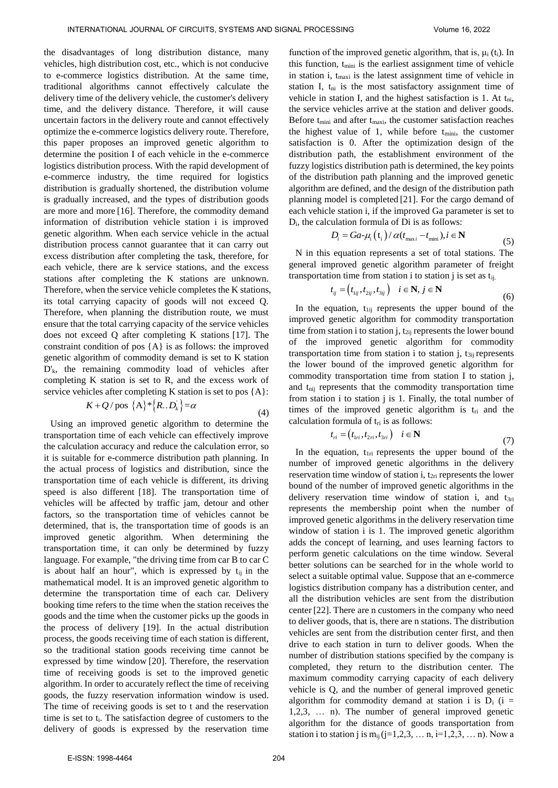the disadvantages of long distribution distance, many vehicles, high distribution cost, etc., which is not conducive to e-commerce logistics distribution. At the same time, traditional algorithms cannot effectively calculate the delivery time of the delivery vehicle, the customer's delivery time, and the delivery distance. Therefore, it will cause uncertain factors in the delivery route and cannot effectively optimize the e-commerce logistics delivery route. Therefore, this paper proposes an improved genetic algorithm to determine the position I of each vehicle in the e-commerce logistics distribution process. With the rapid development of e-commerce industry, the time required for logistics distribution is gradually shortened, the distribution volume is gradually increased, and the types of distribution goods are more and more [16]. Therefore, the commodity demand information of distribution vehicle station i is improved genetic algorithm. When each service vehicle in the actual distribution process cannot guarantee that it can carry out excess distribution after completing the task, therefore, for each vehicle, there are k service stations, and the excess stations after completing the K stations are unknown. Therefore, when the service vehicle completes the K stations, its total carrying capacity of goods will not exceed Q. Therefore, when planning the distribution route, we must ensure that the total carrying capacity of the service vehicles does not exceed Q after completing K stations [17]. The constraint condition of pos {A} is as follows: the improved genetic algorithm of commodity demand is set to K station D'k, the remaining commodity load of vehicles after completing K station is set to R, and the excess work of service vehicles after completing K station is set to pos {A}:<br> $K + Q / \text{pos } \{A\}^* \{R .. D_k'\} = \alpha$  (A)

$$
K + Q / \text{pos } \{A\}^* \{R .. D_k' \} = \alpha
$$
\n(4)

Using an improved genetic algorithm to determine the transportation time of each vehicle can effectively improve the calculation accuracy and reduce the calculation error, so it is suitable for e-commerce distribution path planning. In the actual process of logistics and distribution, since the transportation time of each vehicle is different, its driving speed is also different [18]. The transportation time of vehicles will be affected by traffic jam, detour and other factors, so the transportation time of vehicles cannot be determined, that is, the transportation time of goods is an improved genetic algorithm. When determining the transportation time, it can only be determined by fuzzy language. For example, "the driving time from car B to car C is about half an hour", which is expressed by  $t_{ij}$  in the mathematical model. It is an improved genetic algorithm to determine the transportation time of each car. Delivery booking time refers to the time when the station receives the goods and the time when the customer picks up the goods in the process of delivery [19]. In the actual distribution process, the goods receiving time of each station is different, so the traditional station goods receiving time cannot be expressed by time window [20]. Therefore, the reservation time of receiving goods is set to the improved genetic algorithm. In order to accurately reflect the time of receiving goods, the fuzzy reservation information window is used. The time of receiving goods is set to t and the reservation time is set to ti. The satisfaction degree of customers to the delivery of goods is expressed by the reservation time

function of the improved genetic algorithm, that is,  $\mu_i$  (t<sub>i</sub>). In this function, t<sub>mini</sub> is the earliest assignment time of vehicle in station i, t<sub>maxi</sub> is the latest assignment time of vehicle in station I,  $t_{ni}$  is the most satisfactory assignment time of vehicle in station I, and the highest satisfaction is 1. At tni, the service vehicles arrive at the station and deliver goods. Before t<sub>mini</sub> and after t<sub>maxi</sub>, the customer satisfaction reaches the highest value of 1, while before  $t_{\text{min}}$ , the customer satisfaction is 0. After the optimization design of the distribution path, the establishment environment of the fuzzy logistics distribution path is determined, the key points of the distribution path planning and the improved genetic algorithm are defined, and the design of the distribution path planning model is completed [21]. For the cargo demand of each vehicle station i, if the improved Ga parameter is set to D<sub>i</sub>, the calculation formula of Di is as follows:<br>  $D_i = Ga - \mu_i(t_i) / \alpha(t_{\text{max}}_i - t_{\text{min}}), i \in \mathbb{N}$ 

$$
D_i = Ga - \mu_i(t_i) / \alpha(t_{\text{max}} - t_{\text{min}}), i \in \mathbb{N}
$$
\n(5)

N in this equation represents a set of total stations. The general improved genetic algorithm parameter of freight transportation time from station i to station j is set as  $t_{ij}$ .<br>  $t_{ij} = (t_{1ij}, t_{2ij}, t_{3ij}) \quad i \in \mathbb{N}, j \in \mathbb{N}$ 

$$
t_{ij} = (t_{1ij}, t_{2ij}, t_{3ij}) \quad i \in \mathbf{N}, j \in \mathbf{N}
$$
\n
$$
(6)
$$

In the equation,  $t_{1ij}$  represents the upper bound of the improved genetic algorithm for commodity transportation time from station i to station j,  $t_{2ij}$  represents the lower bound of the improved genetic algorithm for commodity transportation time from station i to station j,  $t_{3ii}$  represents the lower bound of the improved genetic algorithm for commodity transportation time from station I to station j, and t<sub>hij</sub> represents that the commodity transportation time from station i to station j is 1. Finally, the total number of times of the improved genetic algorithm is  $t_{ri}$  and the calculation formula of  $t_{ri}$  is as follows:<br>  $t_{ri} = (t_{1ri}, t_{2ri}, t_{3ri}) \quad i \in \mathbb{N}$ 

$$
t_{ri} = (t_{1ri}, t_{2ri}, t_{3ri}) \quad i \in \mathbb{N}
$$
 (7)

In the equation,  $t_{1ri}$  represents the upper bound of the number of improved genetic algorithms in the delivery reservation time window of station i,  $t_{2ri}$  represents the lower bound of the number of improved genetic algorithms in the delivery reservation time window of station i, and  $t_{3ri}$ represents the membership point when the number of improved genetic algorithms in the delivery reservation time window of station i is 1. The improved genetic algorithm adds the concept of learning, and uses learning factors to perform genetic calculations on the time window. Several better solutions can be searched for in the whole world to select a suitable optimal value. Suppose that an e-commerce logistics distribution company has a distribution center, and all the distribution vehicles are sent from the distribution center [22]. There are n customers in the company who need to deliver goods, that is, there are n stations. The distribution vehicles are sent from the distribution center first, and then drive to each station in turn to deliver goods. When the number of distribution stations specified by the company is completed, they return to the distribution center. The maximum commodity carrying capacity of each delivery vehicle is Q, and the number of general improved genetic algorithm for commodity demand at station i is  $D_i$  (i = 1,2,3, … n). The number of general improved genetic algorithm for the distance of goods transportation from station i to station j is  $m_{ii} (j=1,2,3,... n, i=1,2,3,... n)$ . Now a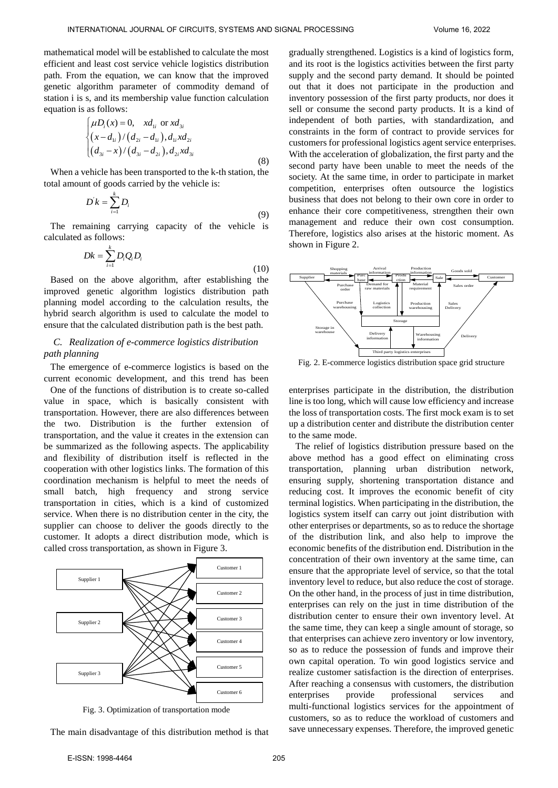mathematical model will be established to calculate the most efficient and least cost service vehicle logistics distribution path. From the equation, we can know that the improved genetic algorithm parameter of commodity demand of station i is s, and its membership value function calculation equation is as follows:

$$
\begin{cases}\n\mu D_i(x) = 0, & x d_{1i} \text{ or } x d_{3i} \\
(x - d_{1i}) / (d_{2i} - d_{1i}), d_{1i} x d_{2i} \\
(d_{3i} - x) / (d_{3i} - d_{2i}), d_{2i} x d_{3i}\n\end{cases}
$$
\n(8)

When a vehicle has been transported to the k-th station, the total amount of goods carried by the vehicle is:

$$
D'k = \sum_{i=1}^{k} D_i
$$
\n(9)

The remaining carrying capacity of the vehicle is calculated as follows:

$$
Dk = \sum_{i=1}^{k} D_i Q_i D_i \tag{10}
$$

Based on the above algorithm, after establishing the improved genetic algorithm logistics distribution path planning model according to the calculation results, the hybrid search algorithm is used to calculate the model to ensure that the calculated distribution path is the best path.

# *C. Realization of e-commerce logistics distribution path planning*

The emergence of e-commerce logistics is based on the current economic development, and this trend has been

One of the functions of distribution is to create so-called value in space, which is basically consistent with transportation. However, there are also differences between the two. Distribution is the further extension of transportation, and the value it creates in the extension can be summarized as the following aspects. The applicability and flexibility of distribution itself is reflected in the cooperation with other logistics links. The formation of this coordination mechanism is helpful to meet the needs of small batch, high frequency and strong service transportation in cities, which is a kind of customized service. When there is no distribution center in the city, the supplier can choose to deliver the goods directly to the customer. It adopts a direct distribution mode, which is called cross transportation, as shown in Figure 3.



Fig. 3. Optimization of transportation mode

The main disadvantage of this distribution method is that

gradually strengthened. Logistics is a kind of logistics form, and its root is the logistics activities between the first party supply and the second party demand. It should be pointed out that it does not participate in the production and inventory possession of the first party products, nor does it sell or consume the second party products. It is a kind of independent of both parties, with standardization, and constraints in the form of contract to provide services for customers for professional logistics agent service enterprises. With the acceleration of globalization, the first party and the second party have been unable to meet the needs of the society. At the same time, in order to participate in market competition, enterprises often outsource the logistics business that does not belong to their own core in order to enhance their core competitiveness, strengthen their own management and reduce their own cost consumption. Therefore, logistics also arises at the historic moment. As shown in Figure 2.



Fig. 2. E-commerce logistics distribution space grid structure

enterprises participate in the distribution, the distribution line is too long, which will cause low efficiency and increase the loss of transportation costs. The first mock exam is to set up a distribution center and distribute the distribution center to the same mode.

The relief of logistics distribution pressure based on the above method has a good effect on eliminating cross transportation, planning urban distribution network, ensuring supply, shortening transportation distance and reducing cost. It improves the economic benefit of city terminal logistics. When participating in the distribution, the logistics system itself can carry out joint distribution with other enterprises or departments, so as to reduce the shortage of the distribution link, and also help to improve the economic benefits of the distribution end. Distribution in the concentration of their own inventory at the same time, can ensure that the appropriate level of service, so that the total inventory level to reduce, but also reduce the cost of storage. On the other hand, in the process of just in time distribution, enterprises can rely on the just in time distribution of the distribution center to ensure their own inventory level. At the same time, they can keep a single amount of storage, so that enterprises can achieve zero inventory or low inventory, so as to reduce the possession of funds and improve their own capital operation. To win good logistics service and realize customer satisfaction is the direction of enterprises. After reaching a consensus with customers, the distribution enterprises provide professional services and multi-functional logistics services for the appointment of customers, so as to reduce the workload of customers and save unnecessary expenses. Therefore, the improved genetic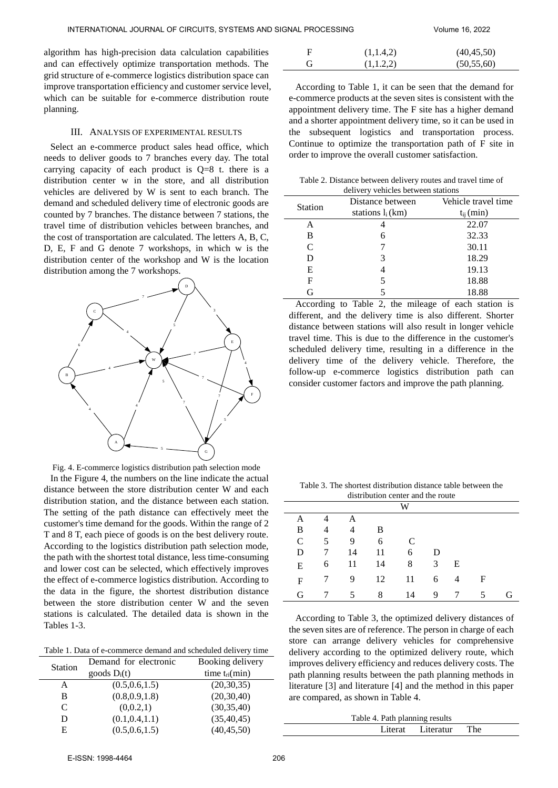algorithm has high-precision data calculation capabilities and can effectively optimize transportation methods. The grid structure of e-commerce logistics distribution space can improve transportation efficiency and customer service level, which can be suitable for e-commerce distribution route planning.

#### III. ANALYSIS OF EXPERIMENTAL RESULTS

Select an e-commerce product sales head office, which needs to deliver goods to 7 branches every day. The total carrying capacity of each product is  $Q=8$  t. there is a distribution center w in the store, and all distribution vehicles are delivered by W is sent to each branch. The demand and scheduled delivery time of electronic goods are counted by 7 branches. The distance between 7 stations, the travel time of distribution vehicles between branches, and the cost of transportation are calculated. The letters A, B, C, D, E, F and G denote 7 workshops, in which w is the distribution center of the workshop and W is the location distribution among the 7 workshops.



|  | Fig. 4. E-commerce logistics distribution path selection mode |  |  |  |
|--|---------------------------------------------------------------|--|--|--|
|  |                                                               |  |  |  |

In the Figure 4, the numbers on the line indicate the actual distance between the store distribution center W and each distribution station, and the distance between each station. The setting of the path distance can effectively meet the customer's time demand for the goods. Within the range of 2 T and 8 T, each piece of goods is on the best delivery route. According to the logistics distribution path selection mode, the path with the shortest total distance, less time-consuming and lower cost can be selected, which effectively improves the effect of e-commerce logistics distribution. According to the data in the figure, the shortest distribution distance between the store distribution center W and the seven stations is calculated. The detailed data is shown in the Tables 1-3.

Table 1. Data of e-commerce demand and scheduled delivery time

| Demand for electronic | Booking delivery   |  |  |
|-----------------------|--------------------|--|--|
| goods $D_i(t)$        | time $t_{ri}(min)$ |  |  |
| (0.5, 0.6, 1.5)       | (20, 30, 35)       |  |  |
| (0.8, 0.9, 1.8)       | (20, 30, 40)       |  |  |
| (0,0.2,1)             | (30, 35, 40)       |  |  |
| (0.1, 0.4, 1.1)       | (35, 40, 45)       |  |  |
| (0.5, 0.6, 1.5)       | (40, 45, 50)       |  |  |
|                       |                    |  |  |

| F | (1,1.4,2) | (40, 45, 50) |
|---|-----------|--------------|
| G | (1,1.2,2) | (50, 55, 60) |

According to Table 1, it can be seen that the demand for e-commerce products at the seven sites is consistent with the appointment delivery time. The F site has a higher demand and a shorter appointment delivery time, so it can be used in the subsequent logistics and transportation process. Continue to optimize the transportation path of F site in order to improve the overall customer satisfaction.

Table 2. Distance between delivery routes and travel time of delivery vehicles between stations

| <b>Station</b> | Distance between   | Vehicle travel time |  |  |  |
|----------------|--------------------|---------------------|--|--|--|
|                | stations $l_i(km)$ | $t_{ij}$ (min)      |  |  |  |
| Α              |                    | 22.07               |  |  |  |
| В              | 6                  | 32.33               |  |  |  |
| C              |                    | 30.11               |  |  |  |
| D              | 3                  | 18.29               |  |  |  |
| E              | 4                  | 19.13               |  |  |  |
| F              | 5                  | 18.88               |  |  |  |
| G              |                    | 18.88               |  |  |  |

According to Table 2, the mileage of each station is different, and the delivery time is also different. Shorter distance between stations will also result in longer vehicle travel time. This is due to the difference in the customer's scheduled delivery time, resulting in a difference in the delivery time of the delivery vehicle. Therefore, the follow-up e-commerce logistics distribution path can consider customer factors and improve the path planning.

Table 3. The shortest distribution distance table between the distribution center and the route

| w            |                 |                |           |               |                |                 |   |   |
|--------------|-----------------|----------------|-----------|---------------|----------------|-----------------|---|---|
| A            | $\overline{4}$  | A              |           |               |                |                 |   |   |
| B            | $\overline{4}$  | $\overline{4}$ | B         |               |                |                 |   |   |
| $\mathsf{C}$ | 5 <sup>5</sup>  | 9              | 6         | $\mathcal{C}$ |                |                 |   |   |
| D            | 7               | 14             | 11        | 6             | D              |                 |   |   |
| E            |                 |                | 6 11 14 8 |               | $\overline{3}$ | E               |   |   |
| $\mathbf{F}$ | $7\overline{ }$ | $9 \quad$      | 12        | 11            | 6 4            |                 | F |   |
| G            |                 | 5              | 8         | 14            | 9              | $7\overline{ }$ | 5 | G |

According to Table 3, the optimized delivery distances of the seven sites are of reference. The person in charge of each store can arrange delivery vehicles for comprehensive delivery according to the optimized delivery route, which improves delivery efficiency and reduces delivery costs. The path planning results between the path planning methods in literature [3] and literature [4] and the method in this paper are compared, as shown in Table 4.

| Table 4. Path planning results |  |                       |  |  |
|--------------------------------|--|-----------------------|--|--|
|                                |  | Literat Literatur The |  |  |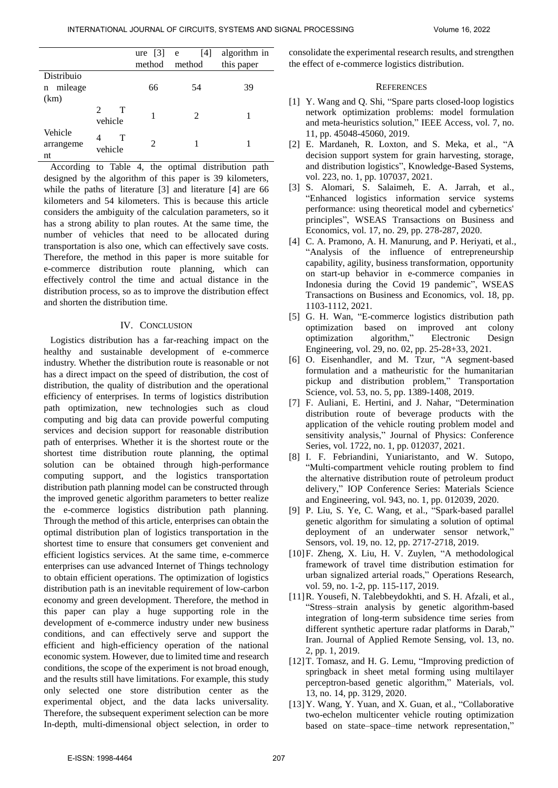|              |                    | ure $[3]$ e                 | [4]                         | algorithm in |
|--------------|--------------------|-----------------------------|-----------------------------|--------------|
|              |                    | method                      | method                      | this paper   |
| Distribuio   |                    |                             |                             |              |
| mileage<br>n |                    | 66                          | 54                          | 39           |
| (km)         |                    |                             |                             |              |
|              | T<br>$\mathcal{L}$ | 1                           | $\mathcal{D}_{\mathcal{L}}$ |              |
|              | vehicle            |                             |                             |              |
| Vehicle      | T<br>4             |                             |                             |              |
| arrangeme    | vehicle            | $\mathcal{D}_{\mathcal{A}}$ |                             |              |
| nt           |                    |                             |                             |              |

According to Table 4, the optimal distribution path designed by the algorithm of this paper is 39 kilometers, while the paths of literature [3] and literature [4] are 66 kilometers and 54 kilometers. This is because this article considers the ambiguity of the calculation parameters, so it has a strong ability to plan routes. At the same time, the number of vehicles that need to be allocated during transportation is also one, which can effectively save costs. Therefore, the method in this paper is more suitable for e-commerce distribution route planning, which can effectively control the time and actual distance in the distribution process, so as to improve the distribution effect and shorten the distribution time.

### IV. CONCLUSION

Logistics distribution has a far-reaching impact on the healthy and sustainable development of e-commerce industry. Whether the distribution route is reasonable or not has a direct impact on the speed of distribution, the cost of distribution, the quality of distribution and the operational efficiency of enterprises. In terms of logistics distribution path optimization, new technologies such as cloud computing and big data can provide powerful computing services and decision support for reasonable distribution path of enterprises. Whether it is the shortest route or the shortest time distribution route planning, the optimal solution can be obtained through high-performance computing support, and the logistics transportation distribution path planning model can be constructed through the improved genetic algorithm parameters to better realize the e-commerce logistics distribution path planning. Through the method of this article, enterprises can obtain the optimal distribution plan of logistics transportation in the shortest time to ensure that consumers get convenient and efficient logistics services. At the same time, e-commerce enterprises can use advanced Internet of Things technology to obtain efficient operations. The optimization of logistics distribution path is an inevitable requirement of low-carbon economy and green development. Therefore, the method in this paper can play a huge supporting role in the development of e-commerce industry under new business conditions, and can effectively serve and support the efficient and high-efficiency operation of the national economic system. However, due to limited time and research conditions, the scope of the experiment is not broad enough, and the results still have limitations. For example, this study only selected one store distribution center as the experimental object, and the data lacks universality. Therefore, the subsequent experiment selection can be more In-depth, multi-dimensional object selection, in order to

consolidate the experimental research results, and strengthen the effect of e-commerce logistics distribution.

## **REFERENCES**

- [1] Y. Wang and Q. Shi, "Spare parts closed-loop logistics network optimization problems: model formulation and meta-heuristics solution," IEEE Access, vol. 7, no. 11, pp. 45048-45060, 2019.
- [2] E. Mardaneh, R. Loxton, and S. Meka, et al., "A decision support system for grain harvesting, storage, and distribution logistics", Knowledge-Based Systems, vol. 223, no. 1, pp. 107037, 2021.
- [3] S. Alomari, S. Salaimeh, E. A. Jarrah, et al., "Enhanced logistics information service systems performance: using theoretical model and cybernetics' principles", WSEAS Transactions on Business and Economics, vol. 17, no. 29, pp. 278-287, 2020.
- [4] C. A. Pramono, A. H. Manurung, and P. Heriyati, et al., "Analysis of the influence of entrepreneurship capability, agility, business transformation, opportunity on start-up behavior in e-commerce companies in Indonesia during the Covid 19 pandemic", WSEAS Transactions on Business and Economics, vol. 18, pp. 1103-1112, 2021.
- [5] G. H. Wan, "E-commerce logistics distribution path optimization based on improved ant colony optimization algorithm," [Electronic Design](https://www.wanfangdata.com.cn/perio/detail.do?perio_id=dzsjgc&perio_title=Electronic%20Design%20Engineering)  [Engineering,](https://www.wanfangdata.com.cn/perio/detail.do?perio_id=dzsjgc&perio_title=Electronic%20Design%20Engineering) vol. 29, no. 02, pp. 25-28+33, 2021.
- [6] O. Eisenhandler, and M. Tzur, "A segment-based formulation and a matheuristic for the humanitarian pickup and distribution problem," Transportation Science, vol. 53, no. 5, pp. 1389-1408, 2019.
- [7] [F. Auliani,](https://xueshu.baidu.com/s?wd=author:(F%20Auliani)%20&tn=SE_baiduxueshu_c1gjeupa&ie=utf-8&sc_f_para=sc_hilight=person) [E. Hertini,](https://xueshu.baidu.com/s?wd=author:(E%20Hertini)%20&tn=SE_baiduxueshu_c1gjeupa&ie=utf-8&sc_f_para=sc_hilight=person) and [J. Nahar,](https://xueshu.baidu.com/s?wd=author:(J%20Nahar)%20&tn=SE_baiduxueshu_c1gjeupa&ie=utf-8&sc_f_para=sc_hilight=person) "Determination distribution route of beverage products with the application of the vehicle routing problem model and sensitivity analysis," Journal of Physics: Conference Series, vol. 1722, no. 1, pp. 012037, 2021.
- [8] [I. F. Febriandini,](https://xueshu.baidu.com/s?wd=author:(I%20F%20Febriandini)%20Laboratory%20Assistant%20Logistic%20System%20and%20Business,%20Industrial%20Engineering%20Department,%20Universitas%20Sebelas%20Maret,%20Indonesia&tn=SE_baiduxueshu_c1gjeupa&ie=utf-8&sc_f_para=sc_hilight=person) [Yuniaristanto,](https://xueshu.baidu.com/s?wd=author:(Yuniaristanto)%20Research%20Group%20of%20Industrial%20Engineering%20and%20Techno-Economic,%20Industrial%20Engineering%20Department,%20Universitas%20Sebelas%20Maret,%20Indonesia&tn=SE_baiduxueshu_c1gjeupa&ie=utf-8&sc_f_para=sc_hilight=person) and [W. Sutopo,](https://xueshu.baidu.com/s?wd=author:(W%20Sutopo)%20Research%20Group%20of%20Industrial%20Engineering%20and%20Techno-Economic,%20Industrial%20Engineering%20Department,%20Universitas%20Sebelas%20Maret,%20Indonesia&tn=SE_baiduxueshu_c1gjeupa&ie=utf-8&sc_f_para=sc_hilight=person) "Multi-compartment vehicle routing problem to find the alternative distribution route of petroleum product delivery," IOP Conference Series: Materials Science and Engineering, vol. 943, no. 1, pp. 012039, 2020.
- [9] P. Liu, S. Ye, C. Wang, et al., "Spark-based parallel genetic algorithm for simulating a solution of optimal deployment of an underwater sensor network," Sensors, vol. 19, no. 12, pp. 2717-2718, 2019.
- [10]F. Zheng, X. Liu, H. V. Zuylen, "A methodological framework of travel time distribution estimation for urban signalized arterial roads," Operations Research, vol. 59, no. 1-2, pp. 115-117, 2019.
- [11]R. Yousefi, N. Talebbeydokhti, and S. H. Afzali, et al., "Stress–strain analysis by genetic algorithm-based integration of long-term subsidence time series from different synthetic aperture radar platforms in Darab," Iran. Journal of Applied Remote Sensing, vol. 13, no. 2, pp. 1, 2019.
- [12] T. Tomasz, and H. G. Lemu, "Improving prediction of springback in sheet metal forming using multilayer perceptron-based genetic algorithm," Materials, vol. 13, no. 14, pp. 3129, 2020.
- [13]Y. Wang, Y. Yuan, and X. Guan, et al., "Collaborative two-echelon multicenter vehicle routing optimization based on state–space–time network representation,"